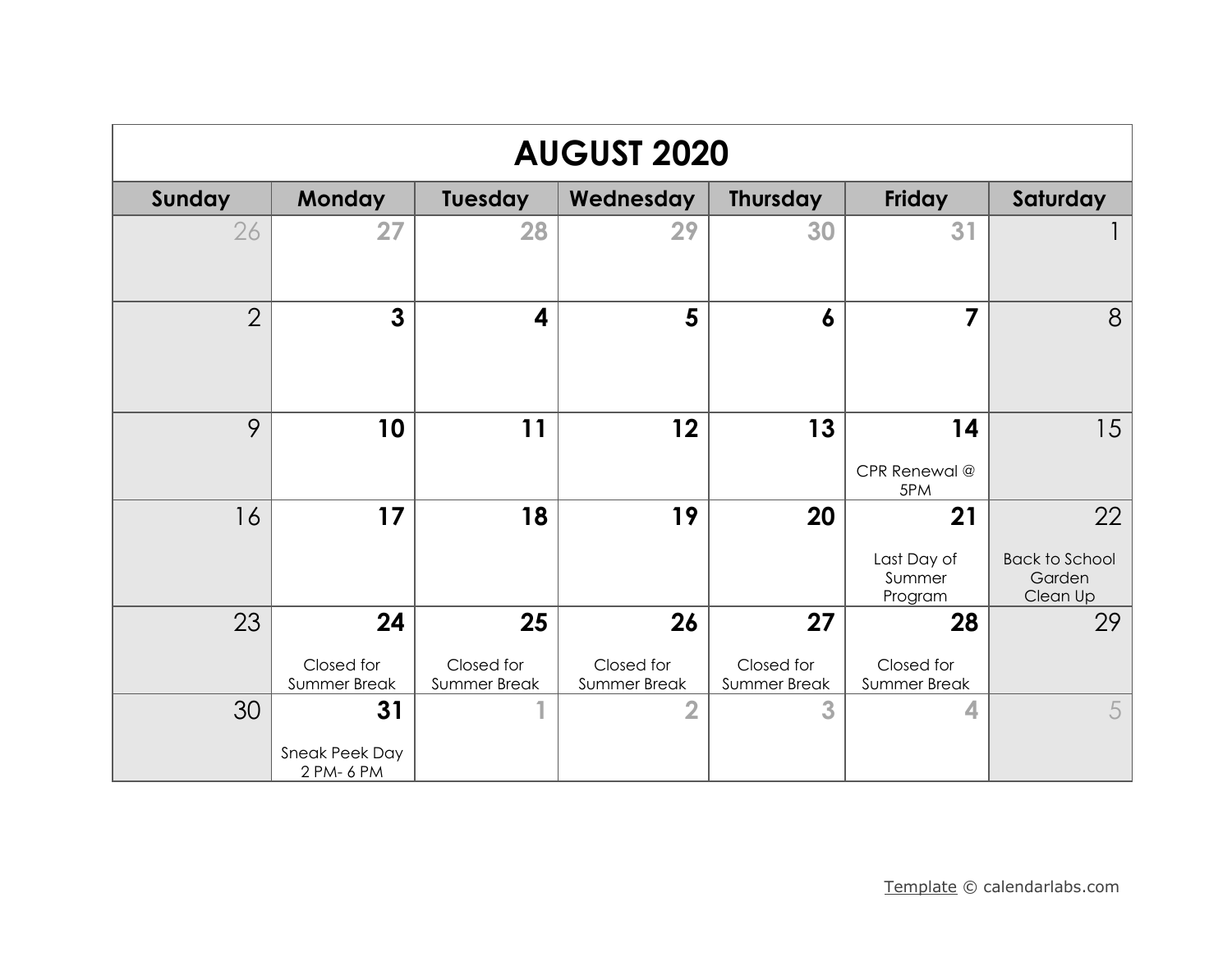| <b>AUGUST 2020</b> |                                    |                                  |                                  |                                  |                                         |                                                   |  |  |
|--------------------|------------------------------------|----------------------------------|----------------------------------|----------------------------------|-----------------------------------------|---------------------------------------------------|--|--|
| Sunday             | Monday                             | <b>Tuesday</b>                   | Wednesday                        | <b>Thursday</b>                  | <b>Friday</b>                           | Saturday                                          |  |  |
| 26                 | 27                                 | 28                               | 29                               | 30                               | 31                                      |                                                   |  |  |
| $\overline{2}$     | $\mathbf{3}$                       | $\overline{\mathbf{4}}$          | 5                                | $\boldsymbol{6}$                 | 7                                       | 8                                                 |  |  |
| 9                  | 10                                 | 11                               | 12                               | 13                               | 14<br>CPR Renewal @<br>5PM              | 15                                                |  |  |
| 16                 | 17                                 | 18                               | 19                               | 20                               | 21<br>Last Day of<br>Summer<br>Program  | 22<br><b>Back to School</b><br>Garden<br>Clean Up |  |  |
| 23                 | 24<br>Closed for<br>Summer Break   | 25<br>Closed for<br>Summer Break | 26<br>Closed for<br>Summer Break | 27<br>Closed for<br>Summer Break | 28<br>Closed for<br><b>Summer Break</b> | 29                                                |  |  |
| 30                 | 31<br>Sneak Peek Day<br>2 PM- 6 PM | 4                                | $\overline{2}$                   | 3                                | 4                                       | 5                                                 |  |  |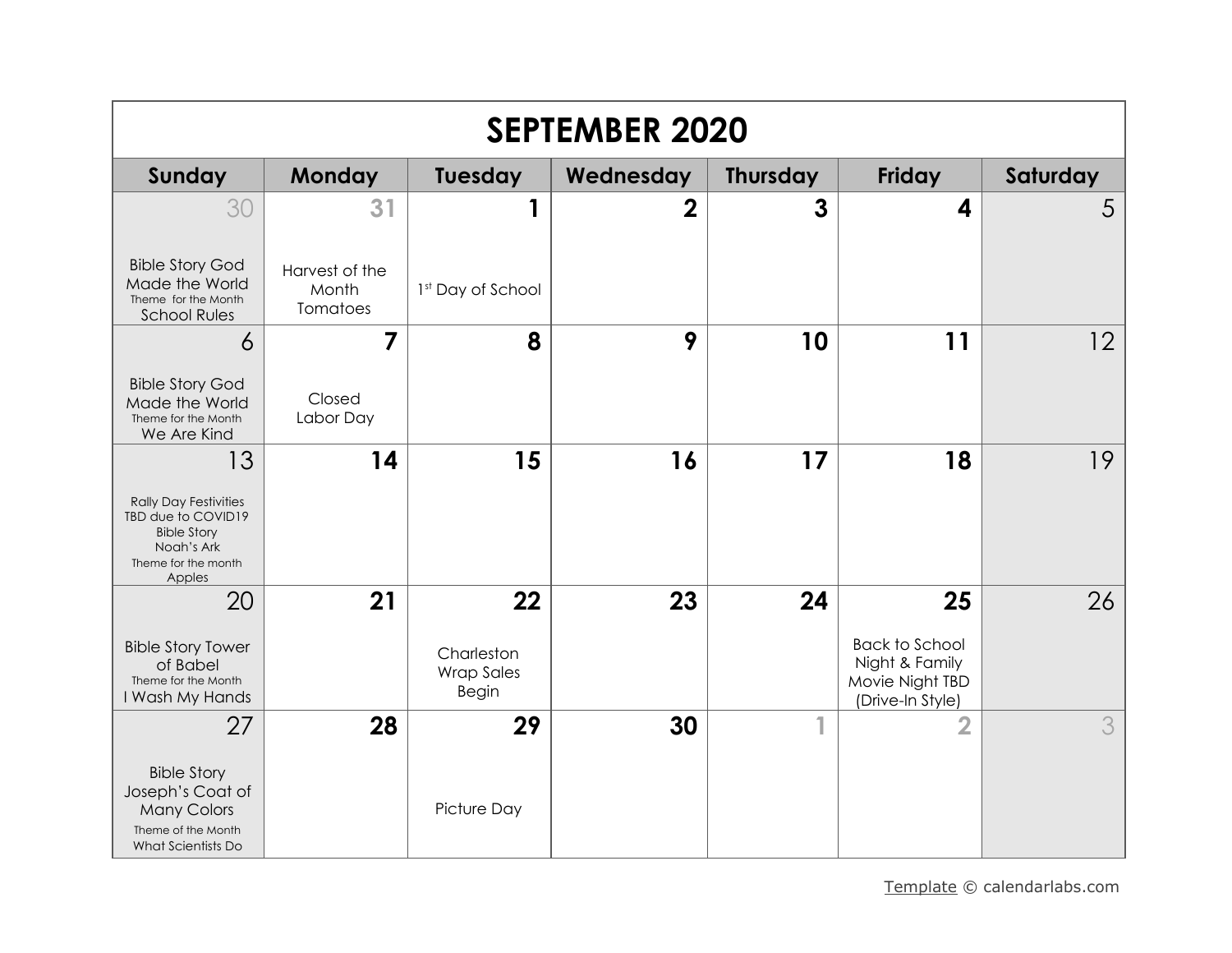| <b>SEPTEMBER 2020</b>                                                                                                         |                                           |                                                       |                |                 |                                                                                      |          |  |
|-------------------------------------------------------------------------------------------------------------------------------|-------------------------------------------|-------------------------------------------------------|----------------|-----------------|--------------------------------------------------------------------------------------|----------|--|
| Sunday                                                                                                                        | <b>Monday</b>                             | Tuesday                                               | Wednesday      | <b>Thursday</b> | <b>Friday</b>                                                                        | Saturday |  |
| 30<br><b>Bible Story God</b><br>Made the World<br>Theme for the Month<br><b>School Rules</b>                                  | 31<br>Harvest of the<br>Month<br>Tomatoes | 1<br>1 <sup>st</sup> Day of School                    | $\overline{2}$ | 3               | 4                                                                                    | 5        |  |
| $\overline{6}$<br><b>Bible Story God</b><br>Made the World<br>Theme for the Month<br>We Are Kind                              | $\overline{7}$<br>Closed<br>Labor Day     | 8                                                     | 9              | 10              | 11                                                                                   | 12       |  |
| 13<br><b>Rally Day Festivities</b><br>TBD due to COVID19<br><b>Bible Story</b><br>Noah's Ark<br>Theme for the month<br>Apples | 14                                        | 15                                                    | 16             | 17              | 18                                                                                   | 19       |  |
| 20<br><b>Bible Story Tower</b><br>of Babel<br>Theme for the Month<br>I Wash My Hands                                          | 21                                        | 22<br>Charleston<br><b>Wrap Sales</b><br><b>Begin</b> | 23             | 24              | 25<br><b>Back to School</b><br>Night & Family<br>Movie Night TBD<br>(Drive-In Style) | 26       |  |
| 27<br><b>Bible Story</b><br>Joseph's Coat of<br><b>Many Colors</b><br>Theme of the Month<br>What Scientists Do                | 28                                        | 29<br>Picture Day                                     | 30             | 1               | $\overline{\mathbf{2}}$                                                              | 3        |  |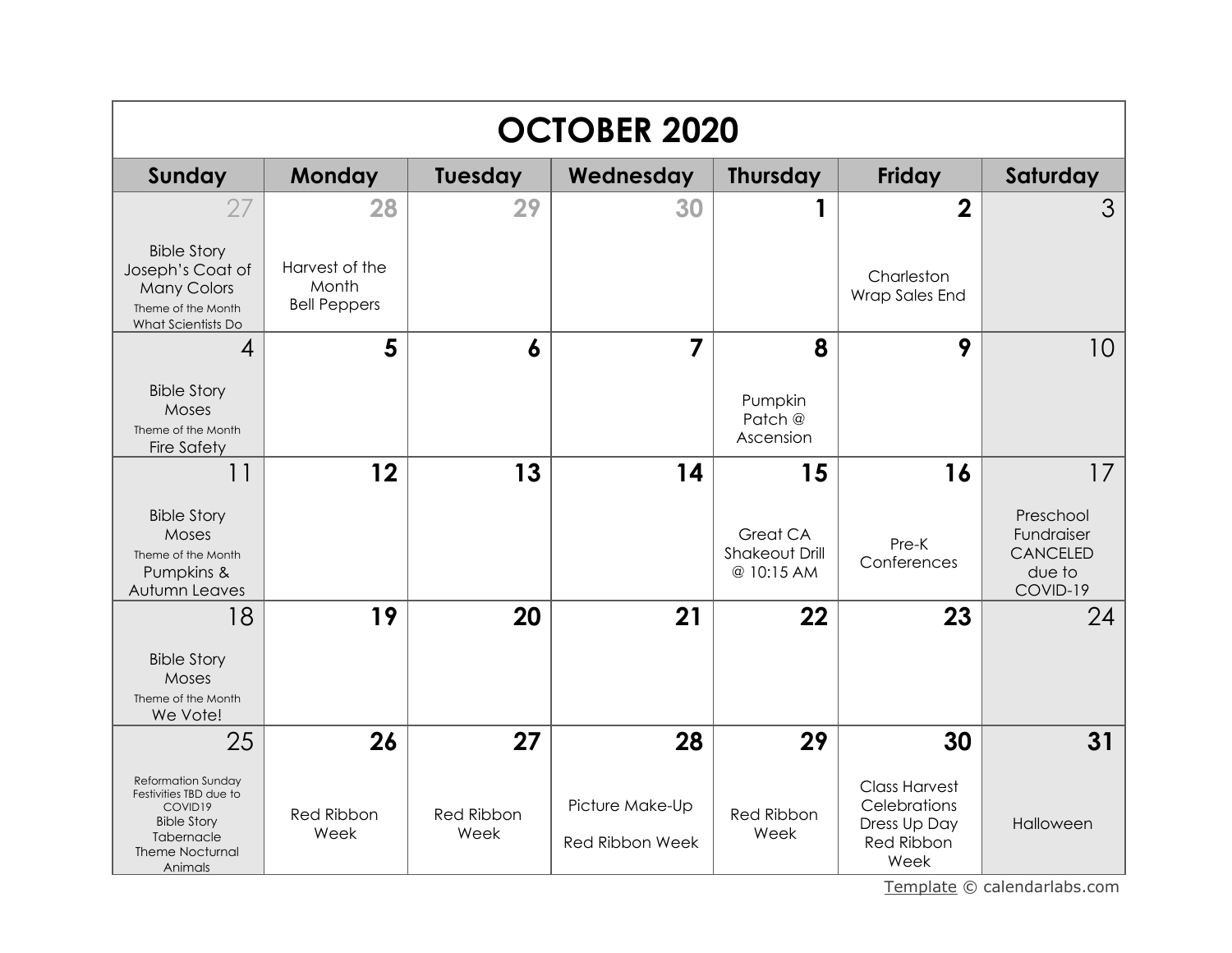|                                                                                                                                         | <b>OCTOBER 2020</b>                            |                    |                                           |                                                 |                                                                                   |                                                                  |  |  |
|-----------------------------------------------------------------------------------------------------------------------------------------|------------------------------------------------|--------------------|-------------------------------------------|-------------------------------------------------|-----------------------------------------------------------------------------------|------------------------------------------------------------------|--|--|
| Sunday                                                                                                                                  | Monday                                         | Tuesday            | Wednesday                                 | <b>Thursday</b>                                 | <b>Friday</b>                                                                     | Saturday                                                         |  |  |
| 27                                                                                                                                      | 28                                             | 29                 | 30                                        |                                                 | $\mathbf 2$                                                                       | 3                                                                |  |  |
| <b>Bible Story</b><br>Joseph's Coat of<br><b>Many Colors</b><br>Theme of the Month<br>What Scientists Do                                | Harvest of the<br>Month<br><b>Bell Peppers</b> |                    |                                           |                                                 | Charleston<br>Wrap Sales End                                                      |                                                                  |  |  |
| $\overline{4}$                                                                                                                          | 5                                              | 6                  | 7                                         | 8                                               | 9                                                                                 | 10                                                               |  |  |
| <b>Bible Story</b><br><b>Moses</b><br>Theme of the Month<br><b>Fire Safety</b>                                                          |                                                |                    |                                           | Pumpkin<br>Patch @<br>Ascension                 |                                                                                   |                                                                  |  |  |
| 11                                                                                                                                      | 12                                             | 13                 | 14                                        | 15                                              | 16                                                                                | 17                                                               |  |  |
| <b>Bible Story</b><br>Moses<br>Theme of the Month<br>Pumpkins &<br>Autumn Leaves                                                        |                                                |                    |                                           | Great CA<br><b>Shakeout Drill</b><br>@ 10:15 AM | Pre-K<br>Conferences                                                              | Preschool<br>Fundraiser<br><b>CANCELED</b><br>due to<br>COVID-19 |  |  |
| 18                                                                                                                                      | 19                                             | 20                 | 21                                        | 22                                              | 23                                                                                | 24                                                               |  |  |
| <b>Bible Story</b><br>Moses<br>Theme of the Month<br>We Vote!                                                                           |                                                |                    |                                           |                                                 |                                                                                   |                                                                  |  |  |
| 25                                                                                                                                      | 26                                             | 27                 | 28                                        | 29                                              | 30                                                                                | 31                                                               |  |  |
| <b>Reformation Sunday</b><br>Festivities TBD due to<br>COVID19<br><b>Bible Story</b><br>Tabernacle<br><b>Theme Nocturnal</b><br>Animals | <b>Red Ribbon</b><br>Week                      | Red Ribbon<br>Week | Picture Make-Up<br><b>Red Ribbon Week</b> | <b>Red Ribbon</b><br>Week                       | <b>Class Harvest</b><br>Celebrations<br>Dress Up Day<br><b>Red Ribbon</b><br>Week | Halloween                                                        |  |  |

[Template](https://www.calendarlabs.com/2019-calendar-templates) © calendarlabs.com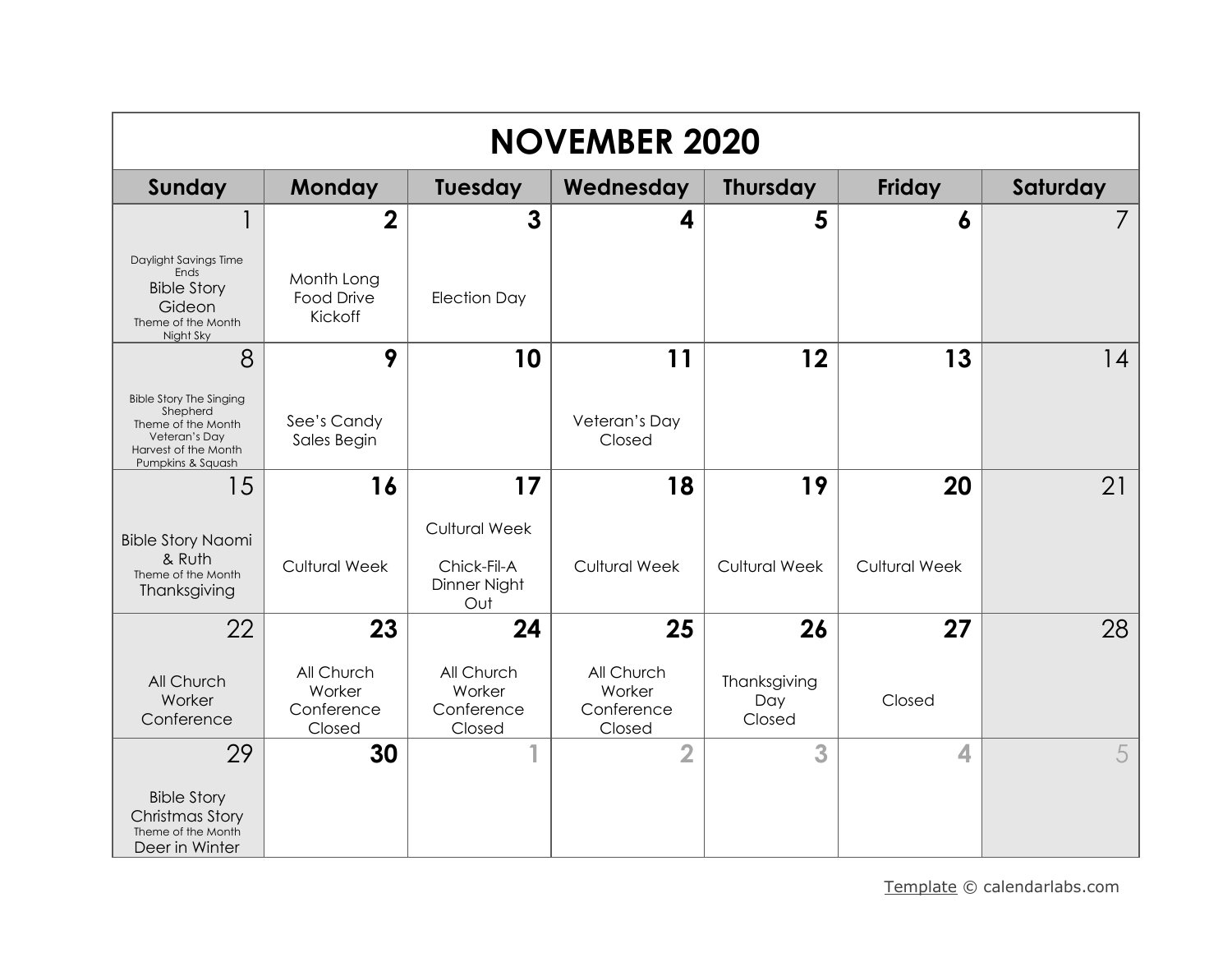| <b>NOVEMBER 2020</b>                                                                                                           |                                              |                                                            |                                              |                               |                      |          |  |
|--------------------------------------------------------------------------------------------------------------------------------|----------------------------------------------|------------------------------------------------------------|----------------------------------------------|-------------------------------|----------------------|----------|--|
| Sunday                                                                                                                         | Monday                                       | <b>Tuesday</b>                                             | Wednesday                                    | <b>Thursday</b>               | <b>Friday</b>        | Saturday |  |
|                                                                                                                                | $\overline{2}$                               | 3                                                          | 4                                            | 5                             | 6                    |          |  |
| Daylight Savings Time<br>Ends<br><b>Bible Story</b><br>Gideon<br>Theme of the Month<br>Night Sky                               | Month Long<br><b>Food Drive</b><br>Kickoff   | <b>Election Day</b>                                        |                                              |                               |                      |          |  |
| 8                                                                                                                              | 9                                            | 10                                                         | 11                                           | 12                            | 13                   | 14       |  |
| <b>Bible Story The Singing</b><br>Shepherd<br>Theme of the Month<br>Veteran's Dav<br>Harvest of the Month<br>Pumpkins & Squash | See's Candy<br>Sales Begin                   |                                                            | Veteran's Day<br>Closed                      |                               |                      |          |  |
| 15                                                                                                                             | 16                                           | 17                                                         | 18                                           | 19                            | 20                   | 21       |  |
| <b>Bible Story Naomi</b><br>& Ruth<br>Theme of the Month<br>Thanksgiving                                                       | <b>Cultural Week</b>                         | <b>Cultural Week</b><br>Chick-Fil-A<br>Dinner Night<br>Out | <b>Cultural Week</b>                         | <b>Cultural Week</b>          | <b>Cultural Week</b> |          |  |
| 22                                                                                                                             | 23                                           | 24                                                         | 25                                           | 26                            | 27                   | 28       |  |
| All Church<br>Worker<br>Conference                                                                                             | All Church<br>Worker<br>Conference<br>Closed | All Church<br>Worker<br>Conference<br>Closed               | All Church<br>Worker<br>Conference<br>Closed | Thanksgiving<br>Day<br>Closed | Closed               |          |  |
| 29                                                                                                                             | 30                                           |                                                            | $\overline{2}$                               | 3                             | $\blacktriangle$     | 5        |  |
| <b>Bible Story</b><br>Christmas Story<br>Theme of the Month<br>Deer in Winter                                                  |                                              |                                                            |                                              |                               |                      |          |  |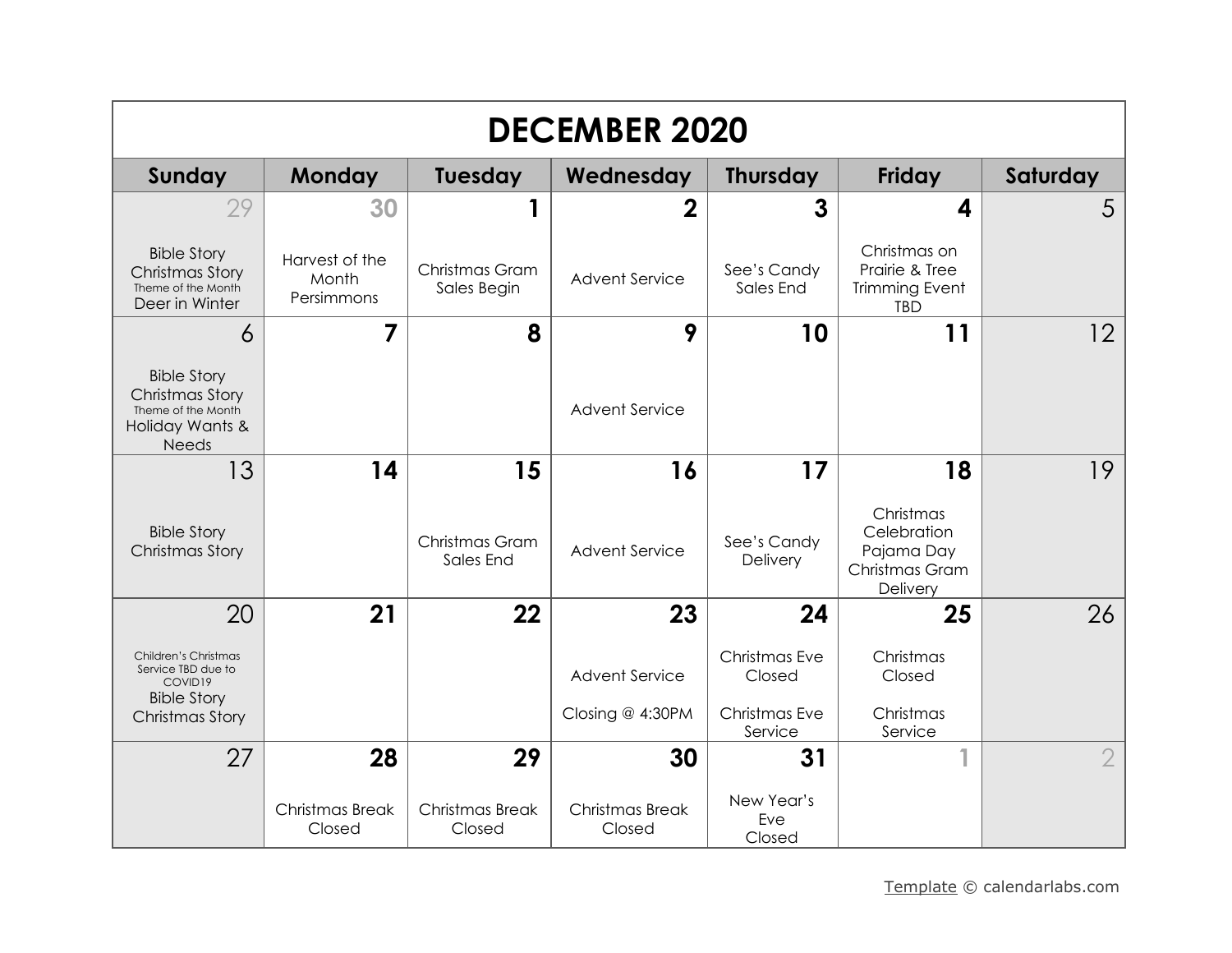| <b>DECEMBER 2020</b>                                                                                  |                                       |                               |                           |                             |                                                                       |                |  |  |
|-------------------------------------------------------------------------------------------------------|---------------------------------------|-------------------------------|---------------------------|-----------------------------|-----------------------------------------------------------------------|----------------|--|--|
| Sunday                                                                                                | <b>Monday</b>                         | <b>Tuesday</b>                | Wednesday                 | <b>Thursday</b>             | <b>Friday</b>                                                         | Saturday       |  |  |
| 29                                                                                                    | 30                                    | 1                             | $\overline{2}$            | 3                           | 4                                                                     | 5              |  |  |
| <b>Bible Story</b><br>Christmas Story<br>Theme of the Month<br>Deer in Winter                         | Harvest of the<br>Month<br>Persimmons | Christmas Gram<br>Sales Begin | <b>Advent Service</b>     | See's Candy<br>Sales End    | Christmas on<br>Prairie & Tree<br><b>Trimming Event</b><br><b>TBD</b> |                |  |  |
| 6                                                                                                     | $\overline{7}$                        | 8                             | 9                         | 10                          | 11                                                                    | 12             |  |  |
| <b>Bible Story</b><br><b>Christmas Story</b><br>Theme of the Month<br>Holiday Wants &<br><b>Needs</b> |                                       |                               | <b>Advent Service</b>     |                             |                                                                       |                |  |  |
| 13                                                                                                    | 14                                    | 15                            | 16                        | 17                          | 18                                                                    | 19             |  |  |
| <b>Bible Story</b><br>Christmas Story                                                                 |                                       | Christmas Gram<br>Sales End   | <b>Advent Service</b>     | See's Candy<br>Delivery     | Christmas<br>Celebration<br>Pajama Day<br>Christmas Gram<br>Delivery  |                |  |  |
| 20                                                                                                    | 21                                    | 22                            | 23                        | 24                          | 25                                                                    | 26             |  |  |
| Children's Christmas<br>Service TBD due to<br>COVID19<br><b>Bible Story</b>                           |                                       |                               | <b>Advent Service</b>     | Christmas Eve<br>Closed     | Christmas<br>Closed                                                   |                |  |  |
| Christmas Story                                                                                       |                                       |                               | Closing @ 4:30PM          | Christmas Eve<br>Service    | Christmas<br>Service                                                  |                |  |  |
| 27                                                                                                    | 28                                    | 29                            | 30                        | 31                          |                                                                       | $\overline{2}$ |  |  |
|                                                                                                       | Christmas Break<br>Closed             | Christmas Break<br>Closed     | Christmas Break<br>Closed | New Year's<br>Eve<br>Closed |                                                                       |                |  |  |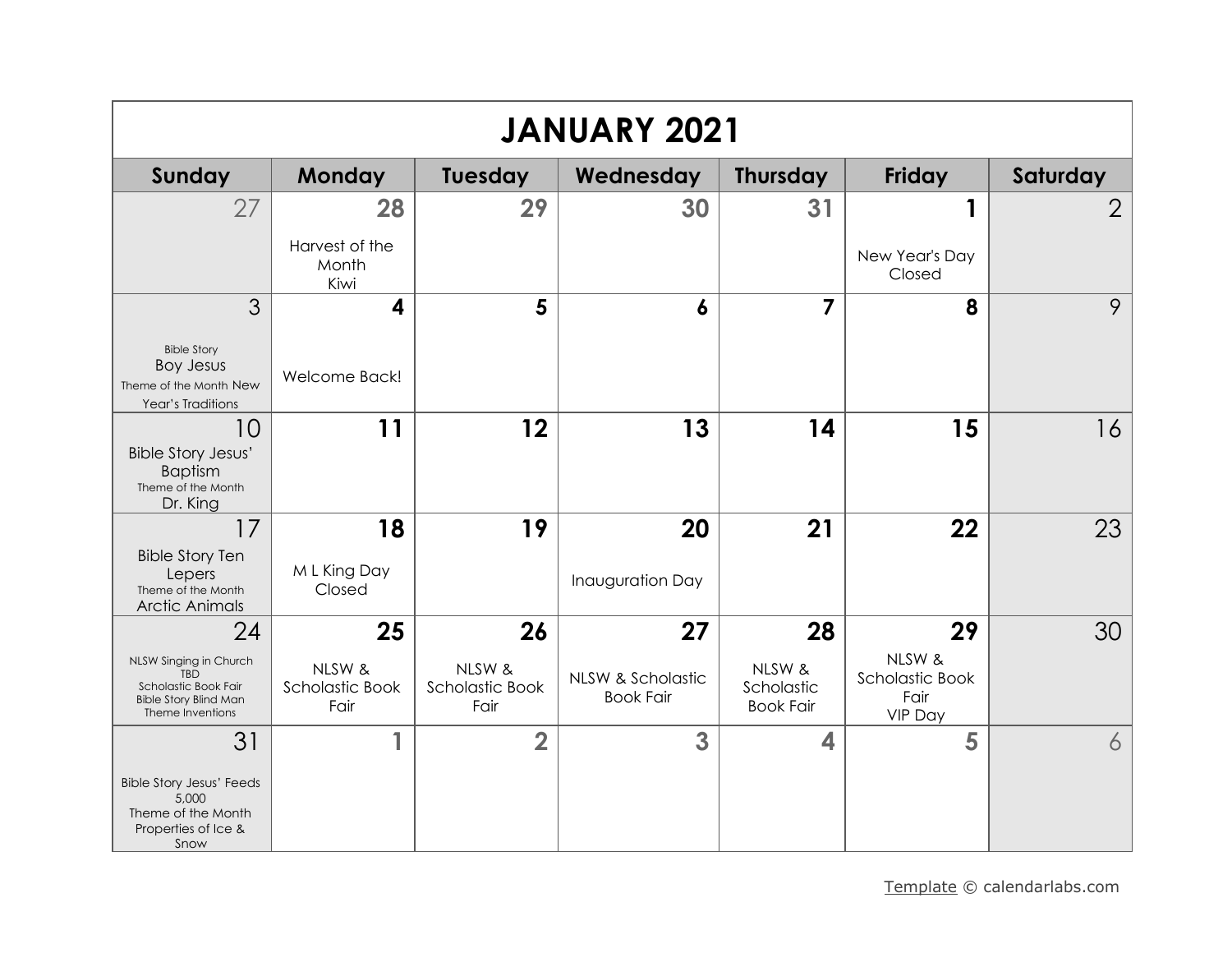| <b>JANUARY 2021</b>                                                                                              |                                   |                                   |                                       |                                          |                                              |                |  |
|------------------------------------------------------------------------------------------------------------------|-----------------------------------|-----------------------------------|---------------------------------------|------------------------------------------|----------------------------------------------|----------------|--|
| Sunday                                                                                                           | Monday                            | Tuesday                           | Wednesday                             | <b>Thursday</b>                          | Friday                                       | Saturday       |  |
| 27                                                                                                               | 28                                | 29                                | 30                                    | 31                                       | 1                                            | $\overline{2}$ |  |
|                                                                                                                  | Harvest of the<br>Month<br>Kiwi   |                                   |                                       |                                          | New Year's Day<br>Closed                     |                |  |
| 3                                                                                                                | 4                                 | 5                                 | 6                                     | 7                                        | 8                                            | 9              |  |
| <b>Bible Story</b><br><b>Boy Jesus</b><br>Theme of the Month New<br>Year's Traditions                            | Welcome Back!                     |                                   |                                       |                                          |                                              |                |  |
| 10                                                                                                               | 11                                | 12                                | 13                                    | 14                                       | 15                                           | 16             |  |
| <b>Bible Story Jesus'</b><br><b>Baptism</b><br>Theme of the Month<br>Dr. King                                    |                                   |                                   |                                       |                                          |                                              |                |  |
| 17                                                                                                               | 18                                | 19                                | 20                                    | 21                                       | 22                                           | 23             |  |
| <b>Bible Story Ten</b><br>Lepers<br>Theme of the Month<br><b>Arctic Animals</b>                                  | M L King Day<br>Closed            |                                   | <b>Inauguration Day</b>               |                                          |                                              |                |  |
| 24                                                                                                               | 25                                | 26                                | 27                                    | 28                                       | 29                                           | 30             |  |
| NLSW Singing in Church<br><b>TBD</b><br>Scholastic Book Fair<br><b>Bible Story Blind Man</b><br>Theme Inventions | NLSW &<br>Scholastic Book<br>Fair | NLSW &<br>Scholastic Book<br>Fair | NLSW & Scholastic<br><b>Book Fair</b> | NLSW &<br>Scholastic<br><b>Book Fair</b> | NLSW &<br>Scholastic Book<br>Fair<br>VIP Day |                |  |
| 31                                                                                                               |                                   | $\overline{\mathbf{2}}$           | 3                                     | 4                                        | 5                                            | 6              |  |
| <b>Bible Story Jesus' Feeds</b><br>5,000<br>Theme of the Month<br>Properties of Ice &<br>Snow                    |                                   |                                   |                                       |                                          |                                              |                |  |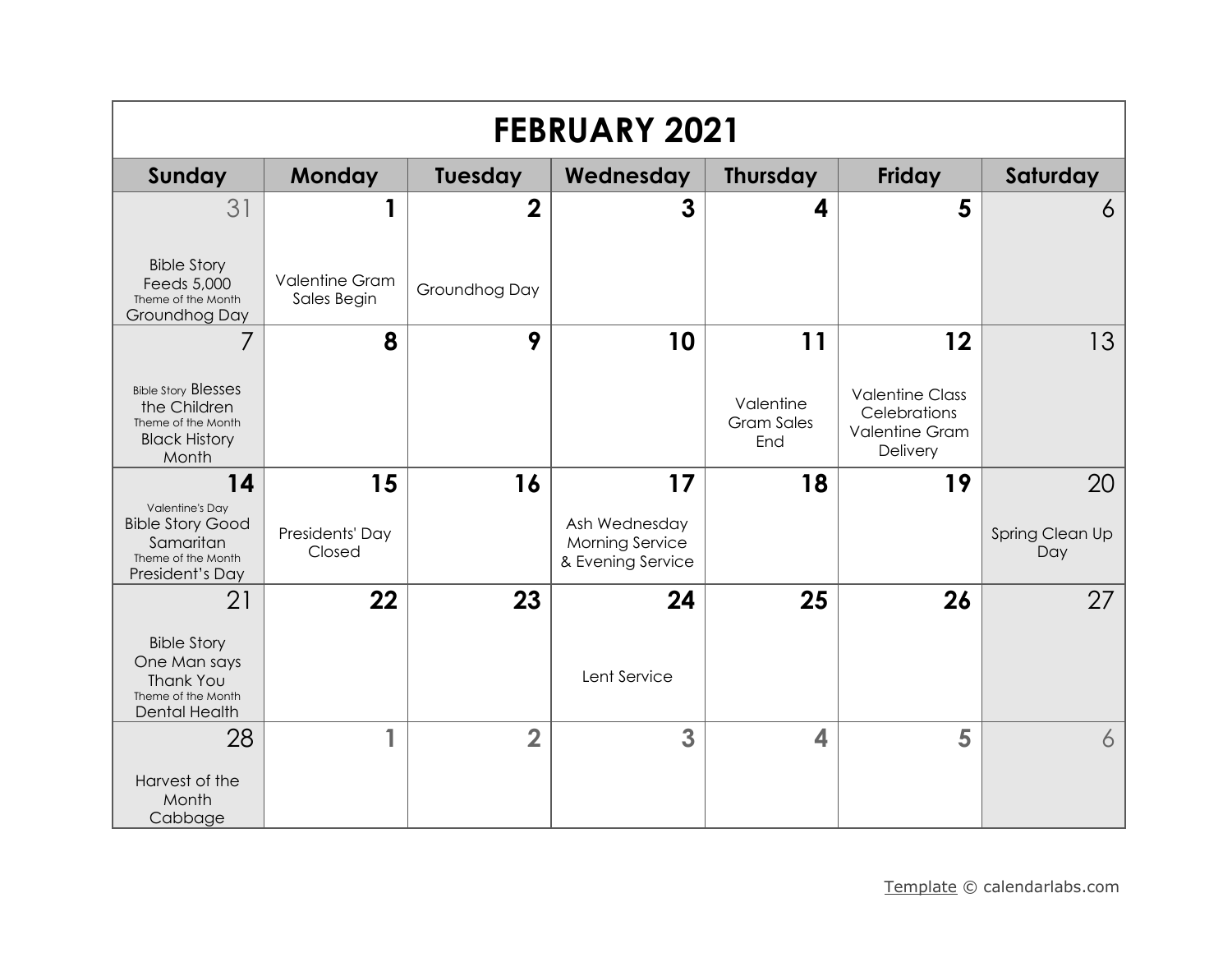| <b>FEBRUARY 2021</b>                                                                                    |                                      |                |                                                              |                                       |                                                                             |                        |  |
|---------------------------------------------------------------------------------------------------------|--------------------------------------|----------------|--------------------------------------------------------------|---------------------------------------|-----------------------------------------------------------------------------|------------------------|--|
| Sunday                                                                                                  | <b>Monday</b>                        | <b>Tuesday</b> | Wednesday                                                    | <b>Thursday</b>                       | <b>Friday</b>                                                               | Saturday               |  |
| 31                                                                                                      | 1                                    | $\overline{2}$ | $\mathbf{3}$                                                 | 4                                     | 5                                                                           | 6                      |  |
| <b>Bible Story</b><br>Feeds 5,000<br>Theme of the Month<br>Groundhog Day                                | <b>Valentine Gram</b><br>Sales Begin | Groundhog Day  |                                                              |                                       |                                                                             |                        |  |
| 7                                                                                                       | 8                                    | 9              | 10                                                           | 11                                    | 12                                                                          | 13                     |  |
| <b>Bible Story Blesses</b><br>the Children<br>Theme of the Month<br><b>Black History</b><br>Month       |                                      |                |                                                              | Valentine<br><b>Gram Sales</b><br>End | <b>Valentine Class</b><br>Celebrations<br><b>Valentine Gram</b><br>Delivery |                        |  |
| 14                                                                                                      | 15                                   | 16             | 17                                                           | 18                                    | 19                                                                          | 20                     |  |
| <b>Valentine's Day</b><br><b>Bible Story Good</b><br>Samaritan<br>Theme of the Month<br>President's Day | Presidents' Day<br>Closed            |                | Ash Wednesday<br><b>Morning Service</b><br>& Evening Service |                                       |                                                                             | Spring Clean Up<br>Day |  |
| 21                                                                                                      | 22                                   | 23             | 24                                                           | 25                                    | 26                                                                          | 27                     |  |
| <b>Bible Story</b><br>One Man says<br><b>Thank You</b><br>Theme of the Month<br>Dental Health           |                                      |                | Lent Service                                                 |                                       |                                                                             |                        |  |
| 28                                                                                                      | 1                                    | $\overline{2}$ | 3                                                            | 4                                     | 5                                                                           | 6                      |  |
| Harvest of the<br>Month<br>Cabbage                                                                      |                                      |                |                                                              |                                       |                                                                             |                        |  |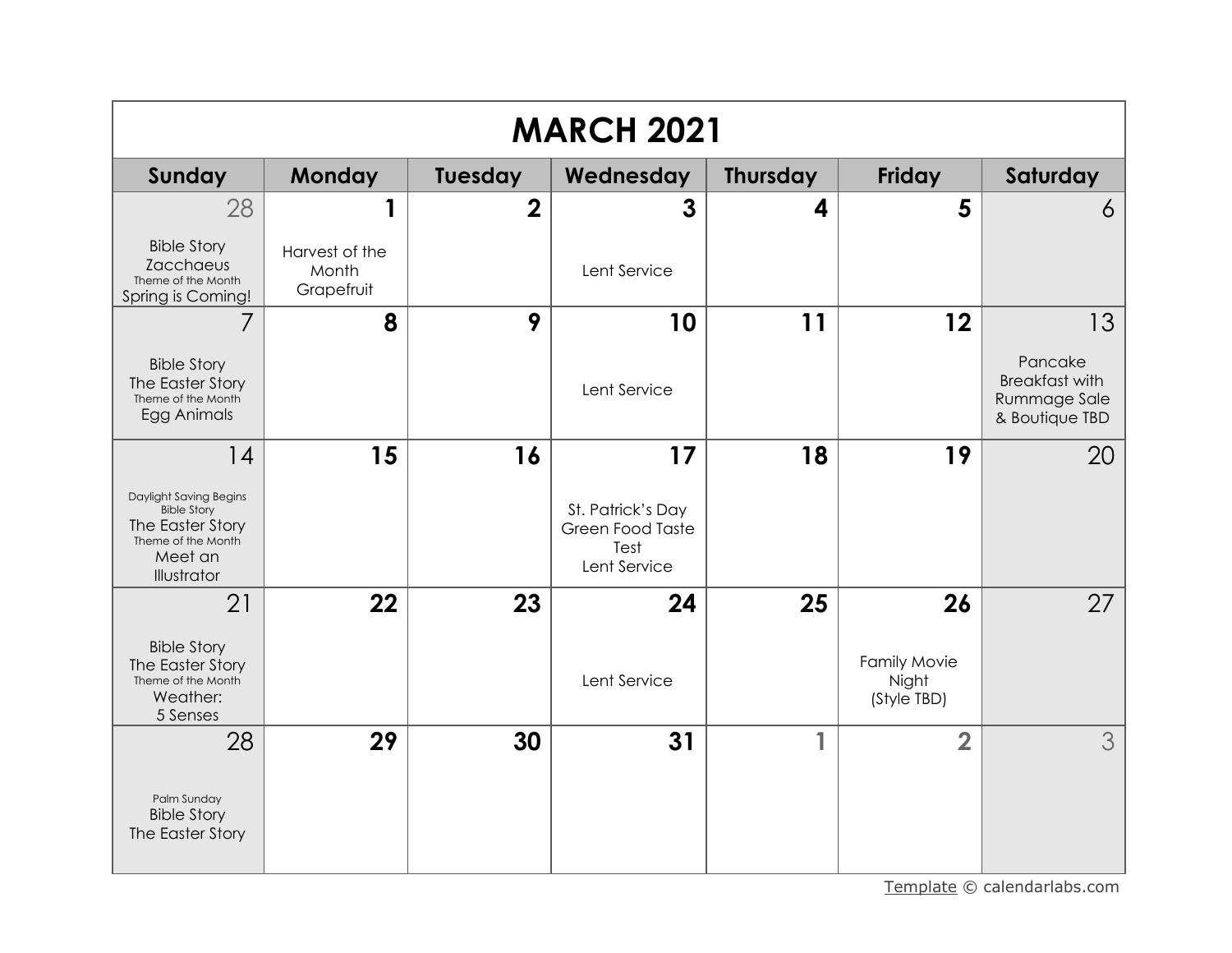|                                                                                                                  | <b>MARCH 2021</b>                     |                |                                                               |          |                                      |                                                                    |  |  |
|------------------------------------------------------------------------------------------------------------------|---------------------------------------|----------------|---------------------------------------------------------------|----------|--------------------------------------|--------------------------------------------------------------------|--|--|
| Sunday                                                                                                           | <b>Monday</b>                         | Tuesday        | Wednesday                                                     | Thursday | <b>Friday</b>                        | Saturday                                                           |  |  |
| 28                                                                                                               | 1                                     | $\overline{2}$ | 3                                                             | 4        | 5                                    | 6                                                                  |  |  |
| <b>Bible Story</b><br>Zacchaeus<br>Theme of the Month<br>Spring is Coming!                                       | Harvest of the<br>Month<br>Grapefruit |                | Lent Service                                                  |          |                                      |                                                                    |  |  |
| 7                                                                                                                | 8                                     | 9              | 10                                                            | 11       | 12                                   | 13                                                                 |  |  |
| <b>Bible Story</b><br>The Easter Story<br>Theme of the Month<br>Egg Animals                                      |                                       |                | Lent Service                                                  |          |                                      | Pancake<br><b>Breakfast with</b><br>Rummage Sale<br>& Boutique TBD |  |  |
| 14                                                                                                               | 15                                    | 16             | 17                                                            | 18       | 19                                   | 20                                                                 |  |  |
| Daylight Saving Begins<br><b>Bible Story</b><br>The Easter Story<br>Theme of the Month<br>Meet an<br>Illustrator |                                       |                | St. Patrick's Day<br>Green Food Taste<br>Test<br>Lent Service |          |                                      |                                                                    |  |  |
| 21                                                                                                               | 22                                    | 23             | 24                                                            | 25       | 26                                   | 27                                                                 |  |  |
| <b>Bible Story</b><br>The Easter Story<br>Theme of the Month<br>Weather:<br>5 Senses                             |                                       |                | Lent Service                                                  |          | Family Movie<br>Night<br>(Style TBD) |                                                                    |  |  |
| 28                                                                                                               | 29                                    | 30             | 31                                                            | 1        | $\overline{2}$                       | 3                                                                  |  |  |
| Palm Sunday<br><b>Bible Story</b><br>The Easter Story                                                            |                                       |                |                                                               |          |                                      |                                                                    |  |  |

[Template](https://www.calendarlabs.com/2019-calendar-templates) © calendarlabs.com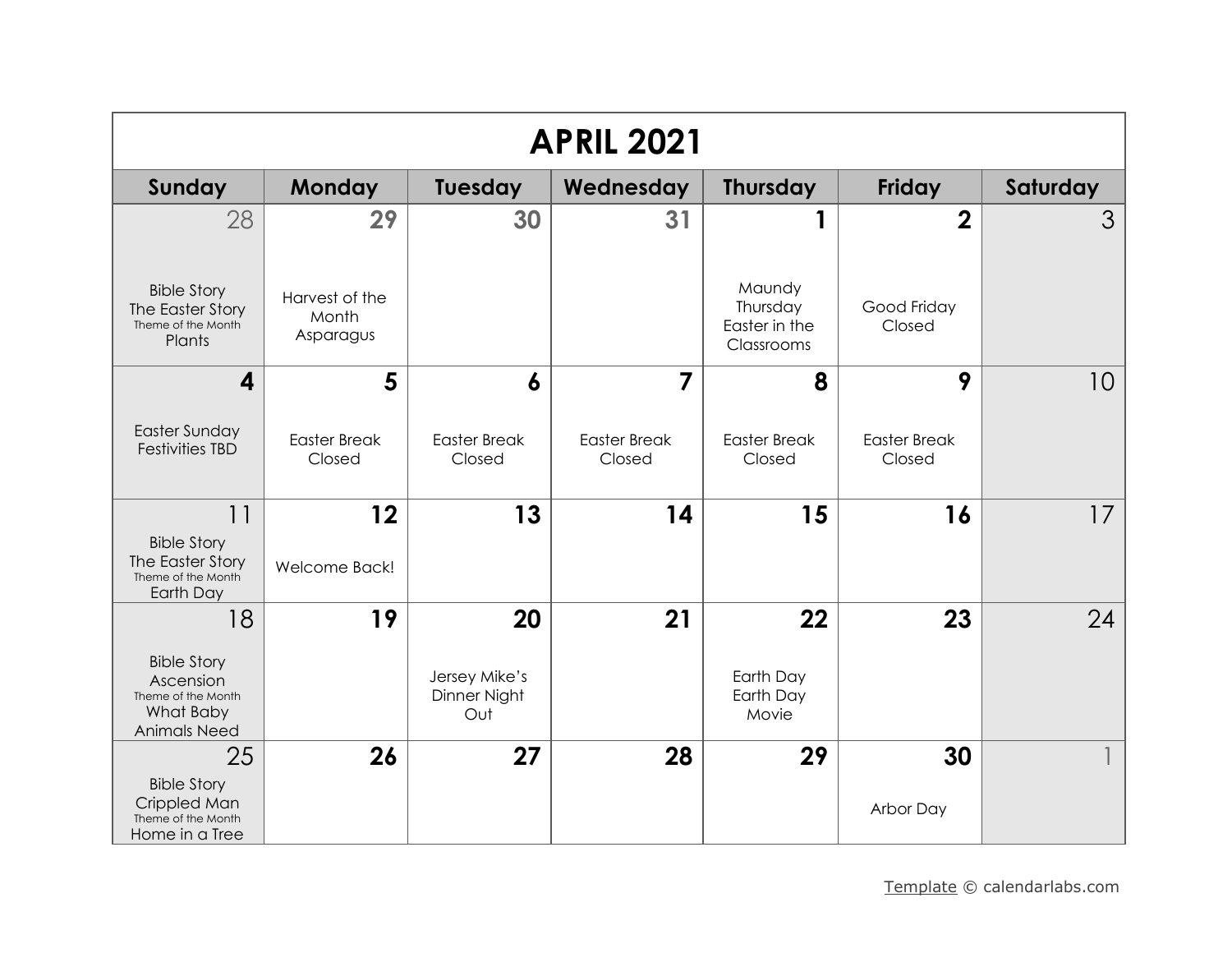| <b>APRIL 2021</b>                                                                         |                                      |                                      |                               |                                                   |                               |          |  |  |
|-------------------------------------------------------------------------------------------|--------------------------------------|--------------------------------------|-------------------------------|---------------------------------------------------|-------------------------------|----------|--|--|
| Sunday                                                                                    | Monday                               | <b>Tuesday</b>                       | Wednesday                     | <b>Thursday</b>                                   | Friday                        | Saturday |  |  |
| 28                                                                                        | 29                                   | 30                                   | 31                            |                                                   | $\boldsymbol{2}$              | 3        |  |  |
| <b>Bible Story</b><br>The Easter Story<br>Theme of the Month<br>Plants                    | Harvest of the<br>Month<br>Asparagus |                                      |                               | Maundy<br>Thursday<br>Easter in the<br>Classrooms | Good Friday<br>Closed         |          |  |  |
| 4                                                                                         | 5                                    | $\boldsymbol{6}$                     | $\overline{7}$                | 8                                                 | 9                             | 10       |  |  |
| Easter Sunday<br><b>Festivities TBD</b>                                                   | <b>Easter Break</b><br>Closed        | <b>Easter Break</b><br>Closed        | <b>Easter Break</b><br>Closed | <b>Easter Break</b><br>Closed                     | <b>Easter Break</b><br>Closed |          |  |  |
| 11                                                                                        | 12                                   | 13                                   | 14                            | 15                                                | 16                            | 17       |  |  |
| <b>Bible Story</b><br>The Easter Story<br>Theme of the Month<br>Earth Day                 | Welcome Back!                        |                                      |                               |                                                   |                               |          |  |  |
| 18                                                                                        | 19                                   | 20                                   | 21                            | 22                                                | 23                            | 24       |  |  |
| <b>Bible Story</b><br>Ascension<br>Theme of the Month<br>What Baby<br><b>Animals Need</b> |                                      | Jersey Mike's<br>Dinner Night<br>Out |                               | Earth Day<br>Earth Day<br>Movie                   |                               |          |  |  |
| 25                                                                                        | 26                                   | 27                                   | 28                            | 29                                                | 30                            |          |  |  |
| <b>Bible Story</b><br>Crippled Man<br>Theme of the Month<br>Home in a Tree                |                                      |                                      |                               |                                                   | Arbor Day                     |          |  |  |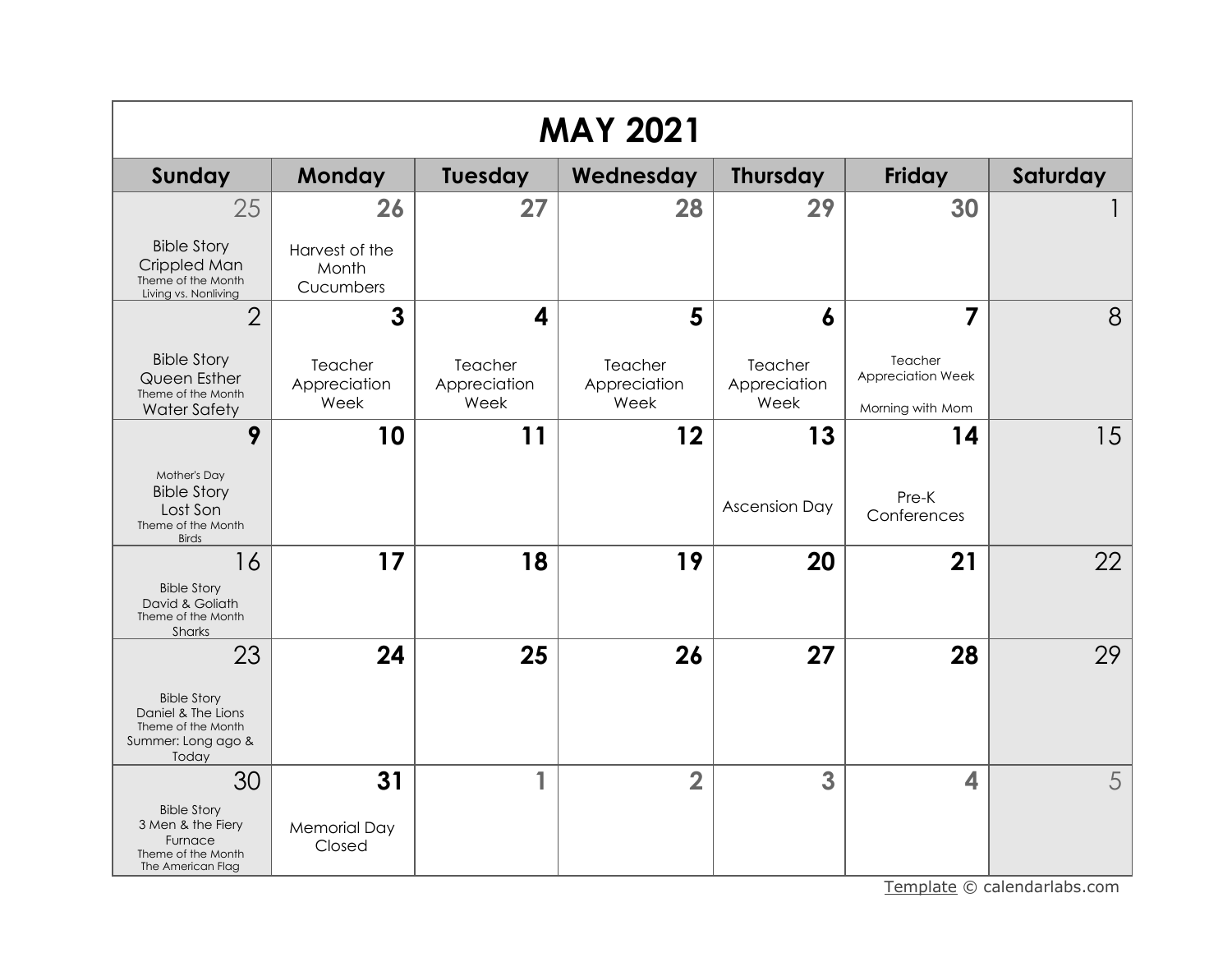| <b>MAY 2021</b>                                                                               |                                      |                                 |                                 |                                 |                                                  |          |  |  |
|-----------------------------------------------------------------------------------------------|--------------------------------------|---------------------------------|---------------------------------|---------------------------------|--------------------------------------------------|----------|--|--|
| <b>Sunday</b>                                                                                 | <b>Monday</b>                        | Tuesday                         | Wednesday                       | <b>Thursday</b>                 | Friday                                           | Saturday |  |  |
| 25                                                                                            | 26                                   | 27                              | 28                              | 29                              | 30                                               |          |  |  |
| <b>Bible Story</b><br>Crippled Man<br>Theme of the Month<br>Living vs. Nonliving              | Harvest of the<br>Month<br>Cucumbers |                                 |                                 |                                 |                                                  |          |  |  |
| $\overline{2}$                                                                                | 3                                    | $\overline{\mathbf{A}}$         | 5                               | 6                               | 7                                                | 8        |  |  |
| <b>Bible Story</b><br>Queen Esther<br>Theme of the Month<br><b>Water Safety</b>               | Teacher<br>Appreciation<br>Week      | Teacher<br>Appreciation<br>Week | Teacher<br>Appreciation<br>Week | Teacher<br>Appreciation<br>Week | Teacher<br>Appreciation Week<br>Morning with Mom |          |  |  |
| 9                                                                                             | 10                                   | 11                              | 12                              | 13                              | 14                                               | 15       |  |  |
| Mother's Day<br><b>Bible Story</b><br>Lost Son<br>Theme of the Month<br><b>Birds</b>          |                                      |                                 |                                 | <b>Ascension Day</b>            | Pre-K<br>Conferences                             |          |  |  |
| 16<br><b>Bible Story</b><br>David & Goliath<br>Theme of the Month<br>Sharks                   | 17                                   | 18                              | 19                              | 20                              | 21                                               | 22       |  |  |
| 23                                                                                            | 24                                   | 25                              | 26                              | 27                              | 28                                               | 29       |  |  |
| <b>Bible Story</b><br>Daniel & The Lions<br>Theme of the Month<br>Summer: Long ago &<br>Today |                                      |                                 |                                 |                                 |                                                  |          |  |  |
| 30                                                                                            | 31                                   | 1                               | $\overline{2}$                  | 3                               | 4                                                | 5        |  |  |
| <b>Bible Story</b><br>3 Men & the Fiery<br>Furnace<br>Theme of the Month<br>The American Flag | <b>Memorial Day</b><br>Closed        |                                 |                                 |                                 |                                                  |          |  |  |

[Template](https://www.calendarlabs.com/2019-calendar-templates) © calendarlabs.com